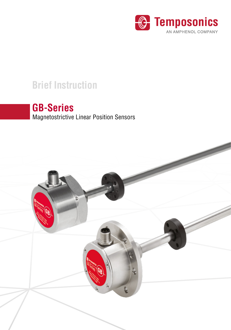

# **Brief Instruction**

# **GB-Series**

Magnetostrictive Linear Position Sensors

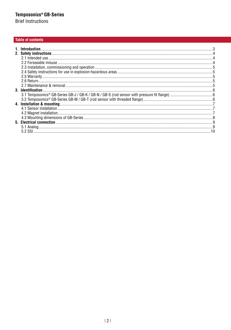**Brief Instructions** 

#### **Table of contents**

| 1. Introduction   |  |
|-------------------|--|
|                   |  |
|                   |  |
|                   |  |
|                   |  |
|                   |  |
|                   |  |
|                   |  |
|                   |  |
| 3. Identification |  |
|                   |  |
|                   |  |
|                   |  |
|                   |  |
|                   |  |
|                   |  |
|                   |  |
|                   |  |
|                   |  |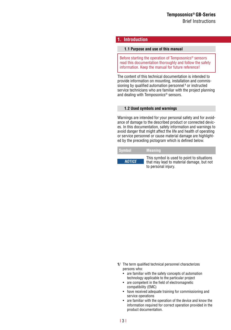#### <span id="page-2-0"></span>**1. Introduction**

#### **1.1 Purpose and use of this manual**

Before starting the operation of Temposonics® sensors read this documentation thoroughly and follow the safety information. Keep the manual for future reference!

The content of this technical documentation is intended to provide information on mounting, installation and commissioning by qualified automation personnel**<sup>1</sup>** or instructed service technicians who are familiar with the project planning and dealing with Temposonics® sensors.

#### **1.2 Used symbols and warnings**

Warnings are intended for your personal safety and for avoidance of damage to the described product or connected devices. In this documentation, safety information and warnings to avoid danger that might affect the life and health of operating or service personnel or cause material damage are highlighted by the preceding pictogram which is defined below.

| <b>Symbol</b> | <b>Meaning</b>                                                                                                 |
|---------------|----------------------------------------------------------------------------------------------------------------|
| <b>NOTICE</b> | This symbol is used to point to situations<br>that may lead to material damage, but not<br>to personal injury. |

- **1/** The term qualified technical personnel characterizes persons who:
	- are familiar with the safety concepts of automation technology applicable to the particular project
	- are competent in the field of electromagnetic compatibility (EMC)
	- have received adequate training for commissioning and service operations
	- are familiar with the operation of the device and know the information required for correct operation provided in the product documentation.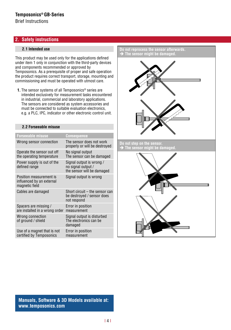<span id="page-3-0"></span>Brief Instructions

#### **2. Safety instructions**

#### **2.1 Intended use**

This product may be used only for the applications defined under item 1 only in conjunction with the third-party devices and components recommended or approved by Temposonics. As a prerequisite of proper and safe operation the product requires correct transport, storage, mounting and commissioning and must be operated with utmost care.

**1.** The sensor systems of all Temposonics® series are intended exclusively for measurement tasks encountered in industrial, commercial and laboratory applications. The sensors are considered as system accessories and must be connected to suitable evaluation electronics, e.g. a PLC, IPC, indicator or other electronic control unit.

#### **2.2 Forseeable misuse**

| <b>Forseeable misuse</b>                                               | Consequence                                                                  |
|------------------------------------------------------------------------|------------------------------------------------------------------------------|
| Wrong sensor connection                                                | The sensor does not work<br>properly or will be destroyed                    |
| Operate the sensor out off<br>the operating temperature                | No signal output<br>The sensor can be damaged                                |
| Power supply is out of the<br>defined range                            | Signal output is wrong /<br>no signal output /<br>the sensor will be damaged |
| Position measurement is<br>influenced by an external<br>magnetic field | Signal output is wrong                                                       |
| Cables are damaged                                                     | Short circuit - the sensor can<br>be destroyed / sensor does<br>not respond  |
| Spacers are missing /<br>are installed in a wrong order                | Error in position<br>measurement                                             |
| Wrong connection<br>of ground / shield                                 | Signal output is disturbed<br>The electronics can be<br>damaged              |
| Use of a magnet that is not<br>certified by Temposonics                | Error in position<br>measurement                                             |

**Do not reprocess the sensor afterwards. The sensor might be damaged. Do not step on the sensor. The sensor might be damaged.**

**Manuals, Software & 3D Models available at: www.[temposonics](http://www.mtssensors.de/en.html?L=0).com**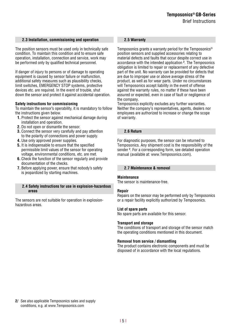#### <span id="page-4-0"></span>**2.3 Installation, commissioning and operation**

The position sensors must be used only in technically safe condition. To maintain this condition and to ensure safe operation, installation, connection and service, work may be performed only by qualified technical personnel.

If danger of injury to persons or of damage to operating equipment is caused by sensor failure or malfunction, additional safety measures such as plausibility checks, limit switches, EMERGENCY STOP systems, protective devices etc. are required. In the event of trouble, shut down the sensor and protect it against accidental operation.

#### **Safety instructions for commissioning**

To maintain the sensor's operability, it is mandatory to follow the instructions given below.

- **1.** Protect the sensor against mechanical damage during installation and operation.
- **2.** Do not open or dismantle the sensor.
- **3.** Connect the sensor very carefully and pay attention to the polarity of connections and power supply.
- **4.** Use only approved power supplies.
- **5.** It is indispensable to ensure that the specified permissible limit values of the sensor for operating voltage, environmental conditions, etc. are met.
- **6.** Check the function of the sensor regularly and provide documentation of the checks.
- **7.** Before applying power, ensure that nobody's safety is jeopardized by starting machines.

#### **2.4 Safety instructions for use in explosion-hazardous areas**

The sensors are not suitable for operation in explosionhazardous areas.

#### **2.5 Warranty**

Temposonics grants a warranty period for the Temposonics® position sensors and supplied accessories relating to material defects and faults that occur despite correct use in accordance with the intended application **<sup>2</sup>** . The Temposonics obligation is limited to repair or replacement of any defective part of the unit. No warranty can be provided for defects that are due to improper use or above average stress of the product, as well as for wear parts. Under no circumstances will Temposonics accept liability in the event of offense against the warranty rules, no matter if these have been assured or expected, even in case of fault or negligence of the company.

Temposonics explicitly excludes any further warranties. Neither the company's representatives, agents, dealers nor employees are authorized to increase or change the scope of warranty.

#### **2.6 Return**

For diagnostic purposes, the sensor can be returned to Temposonics. Any shipment cost is the responsibility of the sender **<sup>2</sup>** . For a corresponding form, see detailed operation manual (available at: www.Temposonics.com).

#### **2.7 Maintenance & removal**

#### **Maintenance**

The sensor is maintenance-free.

#### **Repair**

Repairs on the sensor may be performed only by Temposonics or a repair facility explicitly authorized by Temposonics.

#### **List of spare parts**

No spare parts are available for this sensor.

#### **Transport and storage**

The conditions of transport and storage of the sensor match the operating conditions mentioned in this document.

#### **Removal from service / dismantling**

The product contains electronic components and must be disposed of in accordance with the local regulations.

**2/** See also applicable Temposonics sales and supply conditions, e.g. at www.[Temposonics](http://www.mtssensors.de/en.html?L=0).com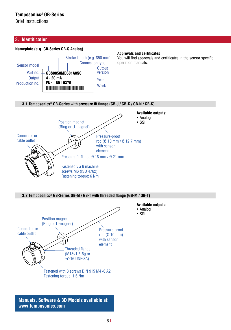<span id="page-5-0"></span>Brief Instructions

#### **3. Identification**

#### **Nameplate (e.g. GB-Series GB-S Analog)**



#### **Approvals and certificates**

You will find approvals and certificates in the sensor specific operation manuals.

#### **3.1 Temposonics® GB-Series with pressure fit flange (GB-J / GB-K / GB-N / GB-S)**



**3.2 Temposonics® GB-Series GB-M / GB-T with threaded flange (GB-M / GB-T)**



**Manuals, Software & 3D Models available at: www.[temposonics](http://www.mtssensors.de/en.html?L=0).com**

I 6 I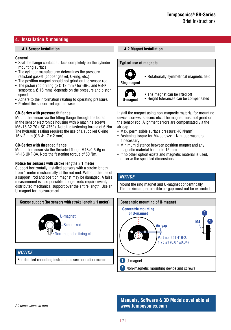#### <span id="page-6-0"></span>**4. Installation & mounting**

#### **4.1 Sensor installation**

#### **General**

- Seat the flange contact surface completely on the cylinder mounting surface.
- The cylinder manufacturer determines the pressureresistant gasket (copper gasket, O-ring, etc.).
- The position magnet should not grind on the sensor rod.
- The piston rod drilling (≥ Ø 13 mm / for GB-J and GB-K sensors:  $\geq$  Ø 16 mm) depends on the pressure and piston speed.
- Adhere to the information relating to operating pressure.
- Protect the sensor rod against wear.

#### **GB-Series with pressure fit flange**

Mount the sensor via the fitting flange through the bores in the sensor electronics housing with 6 machine screws M6×16 A2-70 (ISO 4762). Note the fastening torque of 6 Nm. The hydraulic sealing requires the use of a supplied O-ring  $15 \times 2$  mm (GB-J:  $17 \times 2$  mm).

#### **GB-Series with threaded flange**

Mount the sensor via the threaded flange M18×1.5-6g or ¾"-16 UNF-3A. Note the fastening torque of 50 Nm.

#### **Notice for sensors with stroke lengths ≥ 1 meter**

Support horizontally installed sensors with a stroke length from 1 meter mechanically at the rod end. Without the use of a support, rod and position magnet may be damaged. A false measurement is also possible. Longer rods require evenly distributed mechanical support over the entire length. Use an U-magnet for measurement.



#### *NOTICE*

For detailed mounting instructions see operation manual.

#### **4.2 Magnet installation**



**U-magnet**

- The magnet can be lifted off
- Height tolerances can be compensated

Install the magnet using non-magnetic material for mounting device, screws, spacers etc.. The magnet must not grind on the sensor rod. Alignment errors are compensated via the air gap.

- Max. permissible surface pressure: 40 N/mm2
- Fastening torque for M4 screws: 1 Nm; use washers, if necessary
- Minimum distance between position magnet and any magnetic material has to be 15 mm.
- If no other option exists and magnetic material is used. observe the specified dimensions.

#### *NOTICE*

Mount the ring magnet and U-magnet concentrically. The maximum permissible air gap must not be exceeded.



**Manuals, Software & 3D Models available at: www.[temposonics](http://www.mtssensors.de/en.html?L=0).com**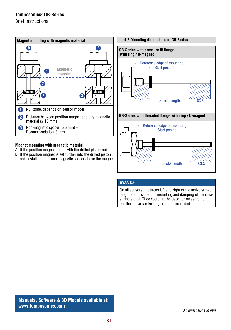<span id="page-7-0"></span>Brief Instructions



#### **Magnet mounting with magnetic material**

- **A.** If the position magnet aligns with the drilled piston rod
- **B.** If the position magnet is set further into the drilled piston rod, install another non-magnetic spacer above the magnet





#### *NOTICE*

On all sensors, the areas left and right of the active stroke length are provided for mounting and damping of the measuring signal. They could not be used for measurement. but the active stroke length can be exceeded.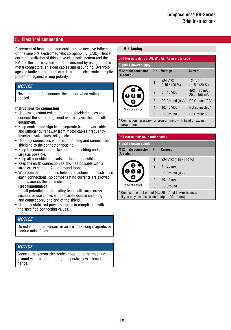#### <span id="page-8-0"></span>**5. Electrical connection**

Placement of installation and cabling have decisive influence **5.1 Analog** on the sensor's electromagnetic compatibility (EMC). Hence correct installation of this active electronic system and the EMC of the entire system must be ensured by using suitable metal connectors, shielded cables and grounding. Overvoltages or faulty connections can damage its electronics despite protection against wrong polarity.

#### *NOTICE*

Never connect / disconnect the sensor when voltage is applied.

#### **Instructions for connection**

- Use low-resistant twisted pair and shielded cables and connect the shield to ground externally via the controller equipment.
- Keep control and sign leads separate from power cables and sufficiently far away from motor cables, frequency inverters, valve lines, relays, etc..
- Use only connectors with metal housing and connect the shielding to the connector housing.
- Keep the connection surface at both shielding ends as large as possible.
- Keep all non-shielded leads as short as possible.
- Keep the earth connection as short as possible with a large cross section. Avoid ground loops.
- With potential differences between machine and electronics earth connections, no compensating currents are allowed to flow across the cable shielding.

#### **Recommendation:**

Install potential compensating leads with large cross section, or use cables with separate double shielding, and connect only one end of the shield.

• Use only stabilized power supplies in compliance with the specified connecting values.

#### *NOTICE*

Do not mount the sensors in an area of strong magnetic or electric noise fields.

#### *NOTICE*

Connect the sensor electronics housing to the machine ground via pressure fit flange respectively via threaded flange.

| D34 (for outputs: VO, AO, A1, A2, A3 in order code)                               |                |                             |                               |  |
|-----------------------------------------------------------------------------------|----------------|-----------------------------|-------------------------------|--|
| $Signal + power supply$                                                           |                |                             |                               |  |
| <b>Current</b><br><b>M12 male connector</b><br>Pin<br><b>Voltage</b><br>(A-coded) |                |                             |                               |  |
|                                                                                   |                | $+24$ VDC<br>$(-15/ + 20%)$ | $+24$ VDC<br>$(-15/ + 20%)$   |  |
|                                                                                   | $\overline{2}$ | $010$ VDC                   | $4(0)20$ mA or<br>$204(0)$ mA |  |
|                                                                                   | 3              | DC Ground (0 V)             | DC Ground (0 V)               |  |
| View on sensor                                                                    | 4              | $100$ VDC                   | Not connected *               |  |
|                                                                                   | 5              | DC Ground                   | DC Ground                     |  |
| * Connection necessary for programming with hand or cabinet                       |                |                             |                               |  |

programmer

#### **D34 (for output: A4 in order code)**

| $Signal + power supply$                                                                              |                |                        |  |  |
|------------------------------------------------------------------------------------------------------|----------------|------------------------|--|--|
| <b>M12 male connector</b><br>(A-coded)                                                               |                | <b>Pin</b> Current     |  |  |
|                                                                                                      |                | +24 VDC $(-15 / +20 %$ |  |  |
|                                                                                                      | $\mathfrak{p}$ | $4.20 \text{ mA}^*$    |  |  |
|                                                                                                      | 3              | DC Ground (0 V)        |  |  |
|                                                                                                      | 4              | $20 \, 4 \, \text{mA}$ |  |  |
| View on sensor                                                                                       | 5              | DC Ground              |  |  |
| * Connect the first output (420 mA) at low-resistance,<br>if you only use the second output (204 mA) |                |                        |  |  |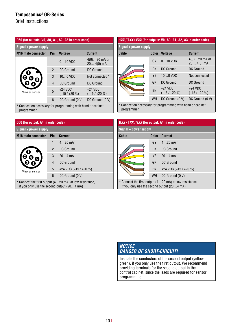Brief Instructions

| D60 (for outputs: V0, A0, A1, A2, A3 in order code)                       |                       |                             |                               |  |  |
|---------------------------------------------------------------------------|-----------------------|-----------------------------|-------------------------------|--|--|
|                                                                           | Signal + power supply |                             |                               |  |  |
| <b>M16</b> male connector                                                 | Pin                   | <b>Voltage</b>              | <b>Current</b>                |  |  |
|                                                                           | 1                     | $010$ VDC                   | $4(0)20$ mA or<br>$204(0)$ mA |  |  |
|                                                                           | $\overline{2}$        | DC Ground                   | DC Ground                     |  |  |
|                                                                           | 3                     | $100$ VDC                   | Not connected *               |  |  |
|                                                                           | 4                     | DC Ground                   | DC Ground                     |  |  |
| View on sensor                                                            | 5                     | $+24$ VDC<br>$(-15/ + 20%)$ | $+24$ VDC<br>$(-15/ + 20%)$   |  |  |
|                                                                           | 6                     | DC Ground (0 V)             | DC Ground (0 V)               |  |  |
| * Connection necessary for programming with hand or cabinet<br>programmer |                       |                             |                               |  |  |

#### **D60 (for output: A4 in order code)**

| Signal + power supply                                                                                |     |                         |
|------------------------------------------------------------------------------------------------------|-----|-------------------------|
| <b>M16</b> male connector                                                                            | Pin | <b>Current</b>          |
|                                                                                                      | 1   | $420$ mA <sup>*</sup>   |
|                                                                                                      | 2   | DC Ground               |
|                                                                                                      | 3   | $20 \quad 4 \text{ mA}$ |
| View on sensor                                                                                       | 4   | DC Ground               |
|                                                                                                      | 5   | +24 VDC $(-15 / +20 %$  |
|                                                                                                      | 6   | DC Ground (0 V)         |
| * Connect the first output (420 mA) at low-resistance,<br>if you only use the second output (204 mA) |     |                         |

#### **H***XX* **/ T***XX* **/ V***XX* **(for outputs: V0, A0, A1, A2, A3 in order code)**

| Signal + power supply                                       |           |                             |                               |  |
|-------------------------------------------------------------|-----------|-----------------------------|-------------------------------|--|
| Cable                                                       | Color     | <b>Voltage</b>              | <b>Current</b>                |  |
|                                                             | GY        | $010$ VDC                   | $4(0)20$ mA or<br>$204(0)$ mA |  |
|                                                             | <b>PK</b> | DC Ground                   | DC Ground                     |  |
|                                                             | YE        | $100$ VDC                   | Not connected *               |  |
|                                                             | GN        | DC Ground                   | DC Ground                     |  |
|                                                             | <b>BN</b> | $+24$ VDC<br>$(-15/ + 20%)$ | $+24$ VDC<br>$(-15/ + 20%)$   |  |
|                                                             | WH        | DC Ground (0 V)             | DC Ground (0 V)               |  |
| * Connection necessary for programming with hand or cabinet |           |                             |                               |  |

programmer

| HXX/TXX/VXX (for output: A4 in order code)                                                           |                       |                        |  |  |  |
|------------------------------------------------------------------------------------------------------|-----------------------|------------------------|--|--|--|
|                                                                                                      | Signal + power supply |                        |  |  |  |
| Cable                                                                                                | Color                 | <b>Current</b>         |  |  |  |
|                                                                                                      | GY                    | $420$ mA <sup>*</sup>  |  |  |  |
|                                                                                                      | <b>PK</b>             | DC Ground              |  |  |  |
|                                                                                                      | YF                    | $204 \text{ mA}$       |  |  |  |
|                                                                                                      | GN                    | DC Ground              |  |  |  |
|                                                                                                      | <b>BN</b>             | +24 VDC $(-15 / +20 %$ |  |  |  |
|                                                                                                      | <b>WH</b>             | DC Ground (0 V)        |  |  |  |
| * Connect the first output (420 mA) at low-resistance,<br>if you only use the second output (204 mA) |                       |                        |  |  |  |

#### *NOTICE DANGER OF SHORT-CIRCUIT!*

Insulate the conductors of the second output (yellow, green), if you only use the first output. We recommend providing terminals for the second output in the control cabinet, since the leads are required for sensor programming.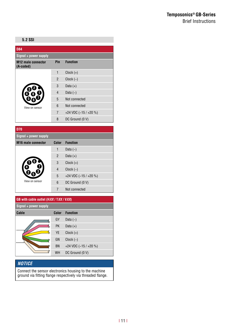#### **Temposonics® GB-Series** Brief Instructions

<span id="page-10-0"></span>

| <b>D84</b>                             |                |                         |
|----------------------------------------|----------------|-------------------------|
| Signal + power supply                  |                |                         |
| <b>M12 male connector</b><br>(A-coded) | Pin            | <b>Function</b>         |
|                                        | $\mathbf{1}$   | $Clock (+)$             |
|                                        | $\overline{2}$ | $Clock (-)$             |
|                                        | 3              | Data $(+)$              |
|                                        | $\overline{4}$ | Data $(-)$              |
|                                        | 5              | Not connected           |
| View on sensor                         | 6              | Not connected           |
|                                        | $\overline{7}$ | +24 VDC $(-15 / +20 %)$ |
|                                        | 8              | DC Ground (0 V)         |

**D70**

| .                         |                |                         |  |  |
|---------------------------|----------------|-------------------------|--|--|
| Signal + power supply     |                |                         |  |  |
| <b>M16</b> male connector | Color          | <b>Function</b>         |  |  |
|                           | 1              | Data $(-)$              |  |  |
|                           | $\overline{2}$ | Data $(+)$              |  |  |
|                           | 3              | $Clock (+)$             |  |  |
|                           | 4              | $Clock (-)$             |  |  |
|                           | 5              | +24 VDC $(-15 / +20 %)$ |  |  |
| View on sensor            | 6              | DC Ground (0 V)         |  |  |
|                           | 7              | Not connected           |  |  |



#### *NOTICE*

Connect the sensor electronics housing to the machine ground via fitting flange respectively via threaded flange.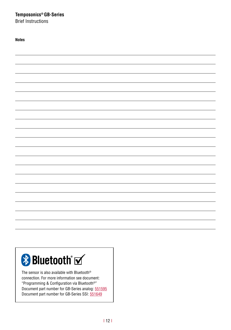Brief Instructions

| <b>Notes</b> |  |
|--------------|--|
|              |  |
|              |  |
|              |  |
|              |  |
|              |  |
|              |  |
|              |  |
|              |  |
|              |  |
|              |  |
|              |  |
|              |  |
|              |  |
|              |  |
|              |  |
|              |  |
|              |  |
|              |  |
|              |  |
|              |  |
|              |  |
|              |  |
|              |  |
|              |  |
|              |  |
|              |  |
|              |  |
|              |  |
|              |  |
|              |  |
|              |  |
|              |  |
|              |  |
|              |  |
|              |  |
|              |  |
|              |  |

# **Bluetooth** M

The sensor is also available with Bluetooth® connection. For more information see document: "Programming & Configuration via Bluetooth®" Document part number for GB-Series analog: [551595](http://www.mtssensor.de/fileadmin/medien/downloads/datasheets/Programming_Configuration_GB-Series_GBS_Analog_551595_RevA_EN.pdf) Document part number for GB-Series SSI: [551649](http://www.mtssensor.de/fileadmin/medien/downloads/files/Betriebsanleitungen_e/Programming_Configuration_Bluetooth_GB-Series_GBS_SSI_551649_RevA_EN.pdf)